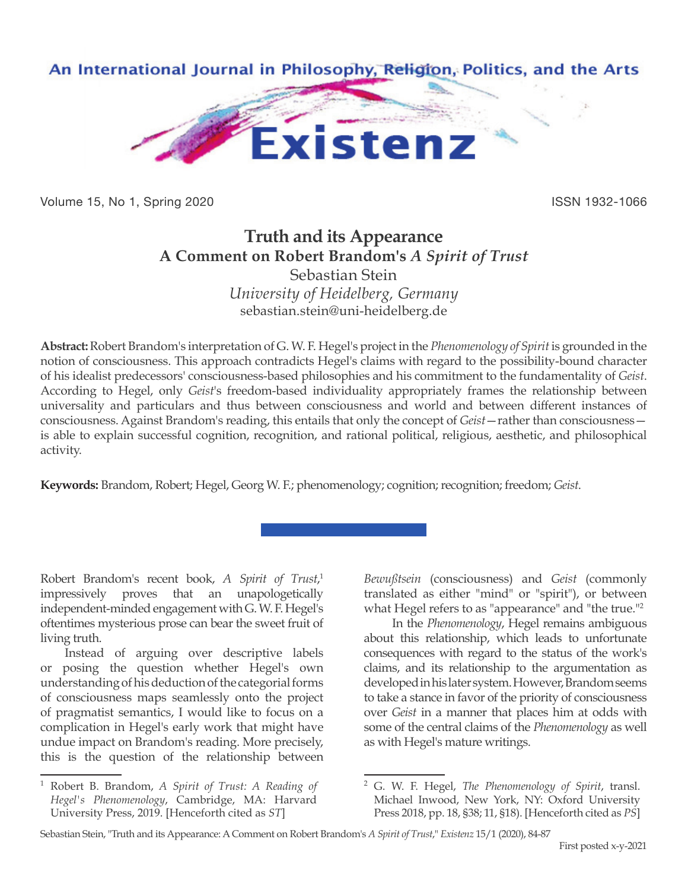

Volume 15, No 1, Spring 2020 **ISSN 1932-1066** ISSN 1932-1066

# **Truth and its Appearance A Comment on Robert Brandom's** *A Spirit of Trust* Sebastian Stein

*University of Heidelberg, Germany* sebastian.stein@uni-heidelberg.de

**Abstract:** Robert Brandom's interpretation of G. W. F. Hegel's project in the *Phenomenology of Spirit* is grounded in the notion of consciousness. This approach contradicts Hegel's claims with regard to the possibility-bound character of his idealist predecessors' consciousness-based philosophies and his commitment to the fundamentality of *Geist*. According to Hegel, only *Geist*'s freedom-based individuality appropriately frames the relationship between universality and particulars and thus between consciousness and world and between different instances of consciousness. Against Brandom's reading, this entails that only the concept of *Geist*—rather than consciousness is able to explain successful cognition, recognition, and rational political, religious, aesthetic, and philosophical activity.

**Keywords:** Brandom, Robert; Hegel, Georg W. F.; phenomenology; cognition; recognition; freedom; *Geist*.

Robert Brandom's recent book, *A Spirit of Trust*, 1 impressively proves that an unapologetically independent-minded engagement with G. W. F. Hegel's oftentimes mysterious prose can bear the sweet fruit of living truth.

Instead of arguing over descriptive labels or posing the question whether Hegel's own understanding of his deduction of the categorial forms of consciousness maps seamlessly onto the project of pragmatist semantics, I would like to focus on a complication in Hegel's early work that might have undue impact on Brandom's reading. More precisely, this is the question of the relationship between

*Bewußtsein* (consciousness) and *Geist* (commonly translated as either "mind" or "spirit"), or between what Hegel refers to as "appearance" and "the true."2

 In the *Phenomenology*, Hegel remains ambiguous about this relationship, which leads to unfortunate consequences with regard to the status of the work's claims, and its relationship to the argumentation as developed in his later system. However, Brandom seems to take a stance in favor of the priority of consciousness over *Geist* in a manner that places him at odds with some of the central claims of the *Phenomenology* as well as with Hegel's mature writings.

<sup>1</sup> Robert B. Brandom, *A Spirit of Trust: A Reading of Hegel's Phenomenology*, Cambridge, MA: Harvard University Press, 2019. [Henceforth cited as *ST*]

<sup>2</sup> G. W. F. Hegel, *The Phenomenology of Spirit*, transl. Michael Inwood, New York, NY: Oxford University Press 2018, pp. 18, §38; 11, §18). [Henceforth cited as *PS*]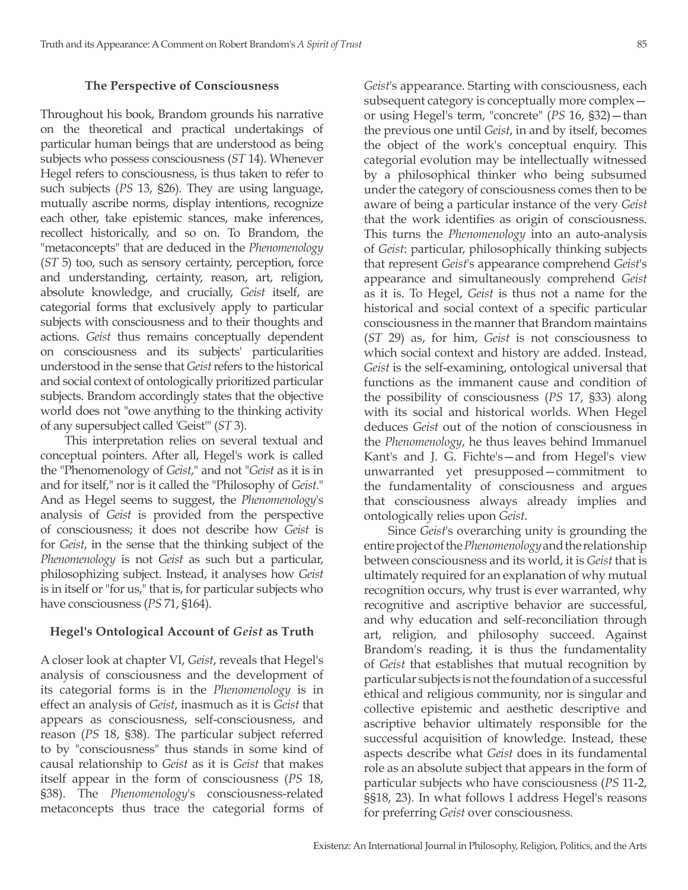### **The Perspective of Consciousness**

Throughout his book, Brandom grounds his narrative on the theoretical and practical undertakings of particular human beings that are understood as being subjects who possess consciousness (*ST* 14). Whenever Hegel refers to consciousness, is thus taken to refer to such subjects (*PS* 13, §26). They are using language, mutually ascribe norms, display intentions, recognize each other, take epistemic stances, make inferences, recollect historically, and so on. To Brandom, the "metaconcepts" that are deduced in the *Phenomenology*  (*ST* 5) too, such as sensory certainty, perception, force and understanding, certainty, reason, art, religion, absolute knowledge, and crucially, *Geist* itself, are categorial forms that exclusively apply to particular subjects with consciousness and to their thoughts and actions. *Geist* thus remains conceptually dependent on consciousness and its subjects' particularities understood in the sense that *Geist* refers to the historical and social context of ontologically prioritized particular subjects. Brandom accordingly states that the objective world does not "owe anything to the thinking activity of any supersubject called 'Geist'" (*ST* 3).

This interpretation relies on several textual and conceptual pointers. After all, Hegel's work is called the "Phenomenology of *Geist*," and not "*Geist* as it is in and for itself," nor is it called the "Philosophy of *Geist*." And as Hegel seems to suggest, the *Phenomenology*'s analysis of *Geist* is provided from the perspective of consciousness; it does not describe how *Geist* is for *Geist*, in the sense that the thinking subject of the *Phenomenology* is not *Geist* as such but a particular, philosophizing subject. Instead, it analyses how *Geist* is in itself or "for us," that is, for particular subjects who have consciousness (*PS* 71, §164).

## **Hegel's Ontological Account of** *Geist* **as Truth**

A closer look at chapter VI, *Geist*, reveals that Hegel's analysis of consciousness and the development of its categorial forms is in the *Phenomenology* is in effect an analysis of *Geist*, inasmuch as it is *Geist* that appears as consciousness, self-consciousness, and reason (*PS* 18, §38). The particular subject referred to by "consciousness" thus stands in some kind of causal relationship to *Geist* as it is *Geist* that makes itself appear in the form of consciousness (*PS* 18, §38). The *Phenomenology*'s consciousness-related metaconcepts thus trace the categorial forms of

*Geist*'s appearance. Starting with consciousness, each subsequent category is conceptually more complex or using Hegel's term, "concrete" (*PS* 16, §32)—than the previous one until *Geist*, in and by itself, becomes the object of the work's conceptual enquiry. This categorial evolution may be intellectually witnessed by a philosophical thinker who being subsumed under the category of consciousness comes then to be aware of being a particular instance of the very *Geist* that the work identifies as origin of consciousness. This turns the *Phenomenology* into an auto-analysis of *Geist*: particular, philosophically thinking subjects that represent *Geist*'s appearance comprehend *Geist*'s appearance and simultaneously comprehend *Geist* as it is. To Hegel, *Geist* is thus not a name for the historical and social context of a specific particular consciousness in the manner that Brandom maintains (*ST* 29) as, for him, *Geist* is not consciousness to which social context and history are added. Instead, *Geist* is the self-examining, ontological universal that functions as the immanent cause and condition of the possibility of consciousness (*PS* 17, §33) along with its social and historical worlds. When Hegel deduces *Geist* out of the notion of consciousness in the *Phenomenology*, he thus leaves behind Immanuel Kant's and J. G. Fichte's—and from Hegel's view unwarranted yet presupposed—commitment to the fundamentality of consciousness and argues that consciousness always already implies and ontologically relies upon *Geist*.

Since *Geist*'s overarching unity is grounding the entire project of the *Phenomenology* and the relationship between consciousness and its world, it is *Geist* that is ultimately required for an explanation of why mutual recognition occurs, why trust is ever warranted, why recognitive and ascriptive behavior are successful, and why education and self-reconciliation through art, religion, and philosophy succeed. Against Brandom's reading, it is thus the fundamentality of *Geist* that establishes that mutual recognition by particular subjects is not the foundation of a successful ethical and religious community, nor is singular and collective epistemic and aesthetic descriptive and ascriptive behavior ultimately responsible for the successful acquisition of knowledge. Instead, these aspects describe what *Geist* does in its fundamental role as an absolute subject that appears in the form of particular subjects who have consciousness (*PS* 11-2, §§18, 23). In what follows I address Hegel's reasons for preferring *Geist* over consciousness.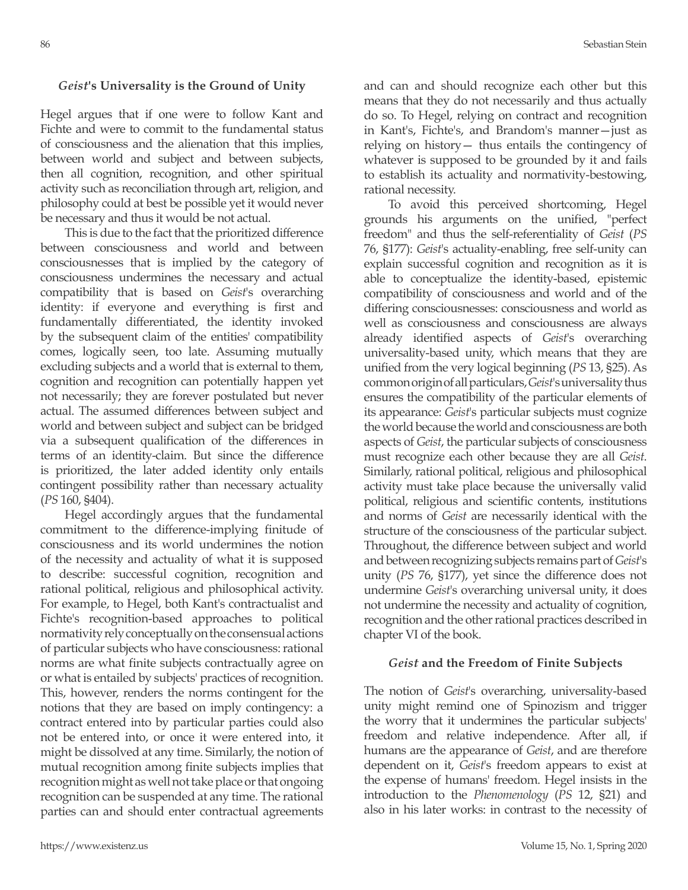#### *Geist***'s Universality is the Ground of Unity**

Hegel argues that if one were to follow Kant and Fichte and were to commit to the fundamental status of consciousness and the alienation that this implies, between world and subject and between subjects, then all cognition, recognition, and other spiritual activity such as reconciliation through art, religion, and philosophy could at best be possible yet it would never be necessary and thus it would be not actual.

This is due to the fact that the prioritized difference between consciousness and world and between consciousnesses that is implied by the category of consciousness undermines the necessary and actual compatibility that is based on *Geist*'s overarching identity: if everyone and everything is first and fundamentally differentiated, the identity invoked by the subsequent claim of the entities' compatibility comes, logically seen, too late. Assuming mutually excluding subjects and a world that is external to them, cognition and recognition can potentially happen yet not necessarily; they are forever postulated but never actual. The assumed differences between subject and world and between subject and subject can be bridged via a subsequent qualification of the differences in terms of an identity-claim. But since the difference is prioritized, the later added identity only entails contingent possibility rather than necessary actuality (*PS* 160, §404).

Hegel accordingly argues that the fundamental commitment to the difference-implying finitude of consciousness and its world undermines the notion of the necessity and actuality of what it is supposed to describe: successful cognition, recognition and rational political, religious and philosophical activity. For example, to Hegel, both Kant's contractualist and Fichte's recognition-based approaches to political normativity rely conceptually on the consensual actions of particular subjects who have consciousness: rational norms are what finite subjects contractually agree on or what is entailed by subjects' practices of recognition. This, however, renders the norms contingent for the notions that they are based on imply contingency: a contract entered into by particular parties could also not be entered into, or once it were entered into, it might be dissolved at any time. Similarly, the notion of mutual recognition among finite subjects implies that recognition might as well not take place or that ongoing recognition can be suspended at any time. The rational parties can and should enter contractual agreements

and can and should recognize each other but this means that they do not necessarily and thus actually do so. To Hegel, relying on contract and recognition in Kant's, Fichte's, and Brandom's manner—just as relying on history— thus entails the contingency of whatever is supposed to be grounded by it and fails to establish its actuality and normativity-bestowing, rational necessity.

To avoid this perceived shortcoming, Hegel grounds his arguments on the unified, "perfect freedom" and thus the self-referentiality of *Geist* (*PS* 76, §177): *Geist*'s actuality-enabling, free self-unity can explain successful cognition and recognition as it is able to conceptualize the identity-based, epistemic compatibility of consciousness and world and of the differing consciousnesses: consciousness and world as well as consciousness and consciousness are always already identified aspects of *Geist*'s overarching universality-based unity, which means that they are unified from the very logical beginning (*PS* 13, §25). As common origin of all particulars, *Geist*'s universality thus ensures the compatibility of the particular elements of its appearance: *Geist*'s particular subjects must cognize the world because the world and consciousness are both aspects of *Geist*, the particular subjects of consciousness must recognize each other because they are all *Geist*. Similarly, rational political, religious and philosophical activity must take place because the universally valid political, religious and scientific contents, institutions and norms of *Geist* are necessarily identical with the structure of the consciousness of the particular subject. Throughout, the difference between subject and world and between recognizing subjects remains part of *Geist*'s unity (*PS* 76, §177), yet since the difference does not undermine *Geist*'s overarching universal unity, it does not undermine the necessity and actuality of cognition, recognition and the other rational practices described in chapter VI of the book.

#### *Geist* **and the Freedom of Finite Subjects**

The notion of *Geist*'s overarching, universality-based unity might remind one of Spinozism and trigger the worry that it undermines the particular subjects' freedom and relative independence. After all, if humans are the appearance of *Geist*, and are therefore dependent on it, *Geist*'s freedom appears to exist at the expense of humans' freedom. Hegel insists in the introduction to the *Phenomenology* (*PS* 12, §21) and also in his later works: in contrast to the necessity of